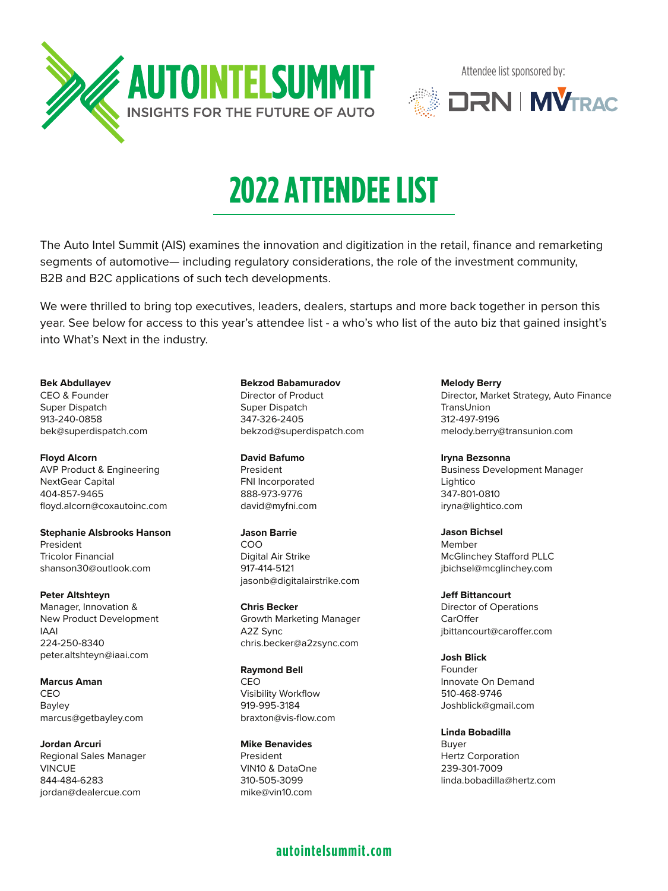



# **2022 ATTENDEE LIST**

The Auto Intel Summit (AIS) examines the innovation and digitization in the retail, finance and remarketing segments of automotive— including regulatory considerations, the role of the investment community, B2B and B2C applications of such tech developments.

We were thrilled to bring top executives, leaders, dealers, startups and more back together in person this year. See below for access to this year's attendee list - a who's who list of the auto biz that gained insight's into What's Next in the industry.

### **Bek Abdullayev**

CEO & Founder Super Dispatch 913-240-0858 bek@superdispatch.com

**Floyd Alcorn** AVP Product & Engineering NextGear Capital 404-857-9465 floyd.alcorn@coxautoinc.com

**Stephanie Alsbrooks Hanson** President Tricolor Financial shanson30@outlook.com

**Peter Altshteyn** Manager, Innovation & New Product Development IAAI 224-250-8340 peter.altshteyn@iaai.com

**Marcus Aman** CEO Bayley marcus@getbayley.com

**Jordan Arcuri** Regional Sales Manager VINCUE 844-484-6283 jordan@dealercue.com

#### **Bekzod Babamuradov**

Director of Product Super Dispatch 347-326-2405 bekzod@superdispatch.com

**David Bafumo**

President FNI Incorporated 888-973-9776 david@myfni.com

**Jason Barrie** COO Digital Air Strike 917-414-5121 jasonb@digitalairstrike.com

**Chris Becker** Growth Marketing Manager A2Z Sync chris.becker@a2zsync.com

**Raymond Bell** CEO Visibility Workflow 919-995-3184 braxton@vis-flow.com

**Mike Benavides** President VIN10 & DataOne 310-505-3099 mike@vin10.com

**Melody Berry** Director, Market Strategy, Auto Finance **TransUnion** 312-497-9196 melody.berry@transunion.com

**Iryna Bezsonna** Business Development Manager Lightico 347-801-0810 iryna@lightico.com

**Jason Bichsel** Member McGlinchey Stafford PLLC jbichsel@mcglinchey.com

**Jeff Bittancourt** Director of Operations CarOffer jbittancourt@caroffer.com

**Josh Blick** Founder Innovate On Demand 510-468-9746 Joshblick@gmail.com

**Linda Bobadilla** Buyer Hertz Corporation 239-301-7009 linda.bobadilla@hertz.com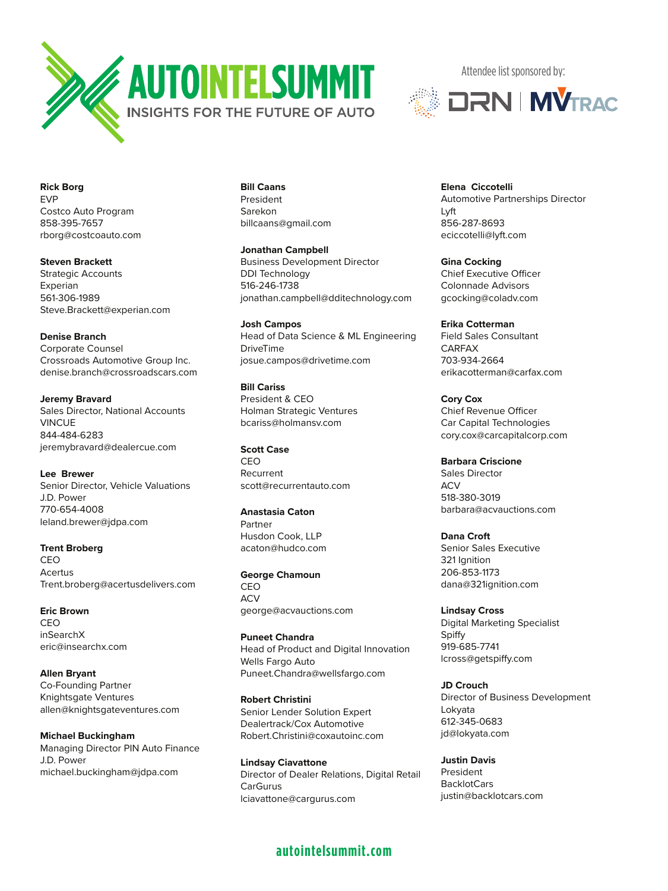



**Rick Borg** EVP Costco Auto Program 858-395-7657 rborg@costcoauto.com

**Steven Brackett** Strategic Accounts Experian 561-306-1989 Steve.Brackett@experian.com

**Denise Branch** Corporate Counsel Crossroads Automotive Group Inc. denise.branch@crossroadscars.com

**Jeremy Bravard** Sales Director, National Accounts VINCUE 844-484-6283 jeremybravard@dealercue.com

**Lee Brewer** Senior Director, Vehicle Valuations J.D. Power 770-654-4008 leland.brewer@jdpa.com

**Trent Broberg** CEO Acertus Trent.broberg@acertusdelivers.com

**Eric Brown** CEO inSearchX eric@insearchx.com

**Allen Bryant** Co-Founding Partner Knightsgate Ventures allen@knightsgateventures.com

**Michael Buckingham** Managing Director PIN Auto Finance J.D. Power michael.buckingham@jdpa.com

**Bill Caans** President Sarekon billcaans@gmail.com

**Jonathan Campbell** Business Development Director DDI Technology 516-246-1738 jonathan.campbell@dditechnology.com

**Josh Campos** Head of Data Science & ML Engineering DriveTime josue.campos@drivetime.com

**Bill Cariss** President & CEO Holman Strategic Ventures bcariss@holmansv.com

**Scott Case CEO** Recurrent scott@recurrentauto.com

**Anastasia Caton** Partner Husdon Cook, LLP

acaton@hudco.com

**George Chamoun** CEO **ACV** george@acvauctions.com

**Puneet Chandra** Head of Product and Digital Innovation Wells Fargo Auto Puneet.Chandra@wellsfargo.com

**Robert Christini** Senior Lender Solution Expert Dealertrack/Cox Automotive Robert.Christini@coxautoinc.com

**Lindsay Ciavattone** Director of Dealer Relations, Digital Retail CarGurus lciavattone@cargurus.com

## **autointelsummit.com**

**Elena Ciccotelli** Automotive Partnerships Director Lyft 856-287-8693 eciccotelli@lyft.com

**Gina Cocking** Chief Executive Officer Colonnade Advisors gcocking@coladv.com

**Erika Cotterman** Field Sales Consultant CARFAX 703-934-2664 erikacotterman@carfax.com

**Cory Cox** Chief Revenue Officer Car Capital Technologies cory.cox@carcapitalcorp.com

**Barbara Criscione** Sales Director ACV 518-380-3019 barbara@acvauctions.com

**Dana Croft** Senior Sales Executive 321 Ignition 206-853-1173 dana@321ignition.com

**Lindsay Cross** Digital Marketing Specialist Spiffy 919-685-7741 lcross@getspiffy.com

**JD Crouch** Director of Business Development Lokyata 612-345-0683 jd@lokyata.com

**Justin Davis** President BacklotCars justin@backlotcars.com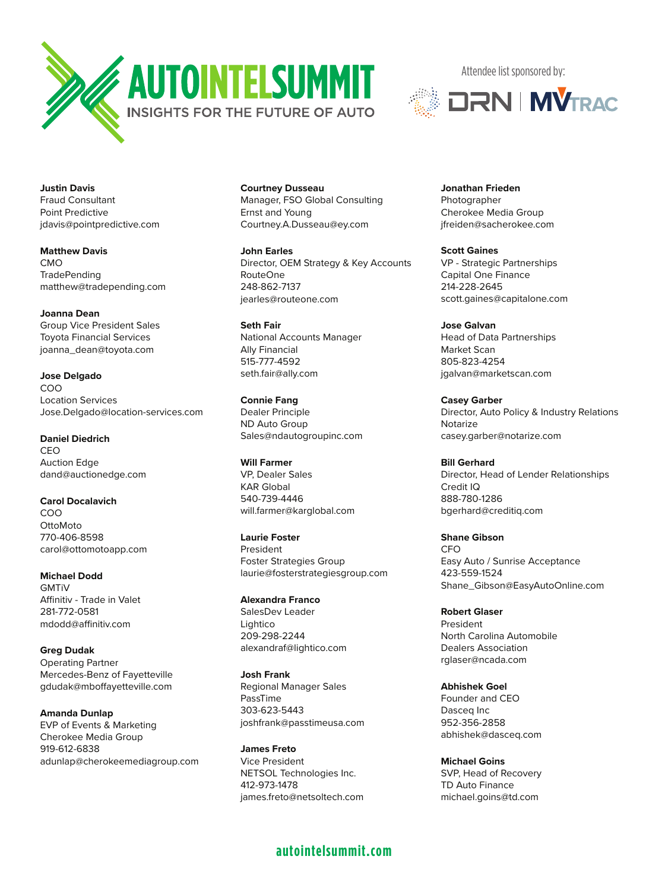



**Justin Davis** Fraud Consultant Point Predictive jdavis@pointpredictive.com

**Matthew Davis** CMO **TradePending** matthew@tradepending.com

**Joanna Dean** Group Vice President Sales Toyota Financial Services joanna\_dean@toyota.com

**Jose Delgado** COO Location Services Jose.Delgado@location-services.com

**Daniel Diedrich** CEO Auction Edge dand@auctionedge.com

**Carol Docalavich** COO **OttoMoto** 770-406-8598 carol@ottomotoapp.com

**Michael Dodd GMTiV** Affinitiv - Trade in Valet 281-772-0581 mdodd@affinitiv.com

**Greg Dudak** Operating Partner Mercedes-Benz of Fayetteville gdudak@mboffayetteville.com

**Amanda Dunlap** EVP of Events & Marketing Cherokee Media Group 919-612-6838 adunlap@cherokeemediagroup.com **Courtney Dusseau** Manager, FSO Global Consulting Ernst and Young Courtney.A.Dusseau@ey.com

**John Earles** Director, OEM Strategy & Key Accounts RouteOne 248-862-7137 jearles@routeone.com

**Seth Fair** National Accounts Manager Ally Financial 515-777-4592 seth.fair@ally.com

**Connie Fang** Dealer Principle ND Auto Group Sales@ndautogroupinc.com

**Will Farmer** VP, Dealer Sales KAR Global 540-739-4446 will.farmer@karglobal.com

**Laurie Foster** President Foster Strategies Group laurie@fosterstrategiesgroup.com

**Alexandra Franco** SalesDev Leader Lightico 209-298-2244 alexandraf@lightico.com

**Josh Frank** Regional Manager Sales PassTime 303-623-5443 joshfrank@passtimeusa.com

**James Freto** Vice President NETSOL Technologies Inc. 412-973-1478 james.freto@netsoltech.com

## **autointelsummit.com**

**Jonathan Frieden** Photographer Cherokee Media Group jfreiden@sacherokee.com

**Scott Gaines** VP - Strategic Partnerships Capital One Finance 214-228-2645 scott.gaines@capitalone.com

**Jose Galvan** Head of Data Partnerships Market Scan 805-823-4254 jgalvan@marketscan.com

**Casey Garber** Director, Auto Policy & Industry Relations Notarize casey.garber@notarize.com

**Bill Gerhard** Director, Head of Lender Relationships Credit IQ 888-780-1286 bgerhard@creditiq.com

**Shane Gibson** CFO Easy Auto / Sunrise Acceptance 423-559-1524 Shane\_Gibson@EasyAutoOnline.com

**Robert Glaser** President North Carolina Automobile Dealers Association rglaser@ncada.com

**Abhishek Goel** Founder and CEO Dasceq Inc 952-356-2858 abhishek@dasceq.com

**Michael Goins** SVP, Head of Recovery TD Auto Finance michael.goins@td.com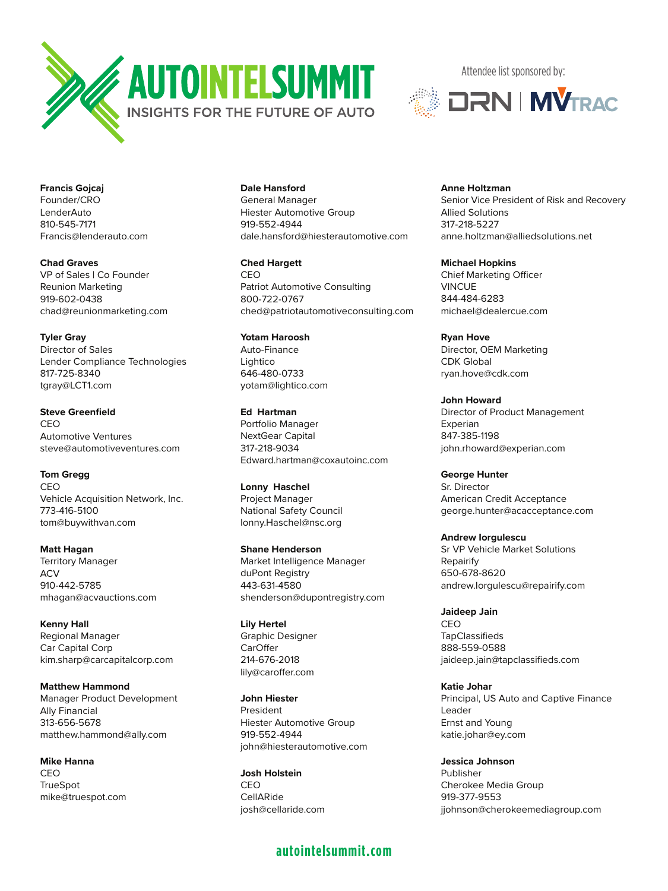



**Francis Gojcaj** Founder/CRO LenderAuto 810-545-7171 Francis@lenderauto.com

**Chad Graves** VP of Sales | Co Founder Reunion Marketing 919-602-0438 chad@reunionmarketing.com

**Tyler Gray** Director of Sales Lender Compliance Technologies 817-725-8340 tgray@LCT1.com

**Steve Greenfield** CEO Automotive Ventures steve@automotiveventures.com

**Tom Gregg** CEO Vehicle Acquisition Network, Inc. 773-416-5100

**Matt Hagan** Territory Manager **ACV** 910-442-5785 mhagan@acvauctions.com

tom@buywithvan.com

**Kenny Hall** Regional Manager Car Capital Corp kim.sharp@carcapitalcorp.com

**Matthew Hammond** Manager Product Development Ally Financial 313-656-5678 matthew.hammond@ally.com

**Mike Hanna** CEO **TrueSpot** mike@truespot.com **Dale Hansford**

General Manager Hiester Automotive Group 919-552-4944 dale.hansford@hiesterautomotive.com

**Ched Hargett** CEO Patriot Automotive Consulting 800-722-0767 ched@patriotautomotiveconsulting.com

**Yotam Haroosh** Auto-Finance Lightico 646-480-0733 yotam@lightico.com

**Ed Hartman** Portfolio Manager NextGear Capital 317-218-9034 Edward.hartman@coxautoinc.com

**Lonny Haschel** Project Manager National Safety Council lonny.Haschel@nsc.org

**Shane Henderson** Market Intelligence Manager duPont Registry 443-631-4580 shenderson@dupontregistry.com

**Lily Hertel** Graphic Designer **CarOffer** 214-676-2018 lily@caroffer.com

**John Hiester** President Hiester Automotive Group 919-552-4944 john@hiesterautomotive.com

**Josh Holstein** CEO CellARide josh@cellaride.com

# **autointelsummit.com**

**Anne Holtzman** Senior Vice President of Risk and Recovery Allied Solutions 317-218-5227 anne.holtzman@alliedsolutions.net

**Michael Hopkins** Chief Marketing Officer VINCUE 844-484-6283 michael@dealercue.com

**Ryan Hove** Director, OEM Marketing CDK Global ryan.hove@cdk.com

**John Howard** Director of Product Management Experian 847-385-1198 john.rhoward@experian.com

**George Hunter** Sr. Director American Credit Acceptance george.hunter@acacceptance.com

**Andrew Iorgulescu** Sr VP Vehicle Market Solutions Repairify 650-678-8620 andrew.Iorgulescu@repairify.com

**Jaideep Jain** CEO **TapClassifieds** 888-559-0588 jaideep.jain@tapclassifieds.com

**Katie Johar** Principal, US Auto and Captive Finance Leader Ernst and Young katie.johar@ey.com

**Jessica Johnson** Publisher Cherokee Media Group 919-377-9553 jjohnson@cherokeemediagroup.com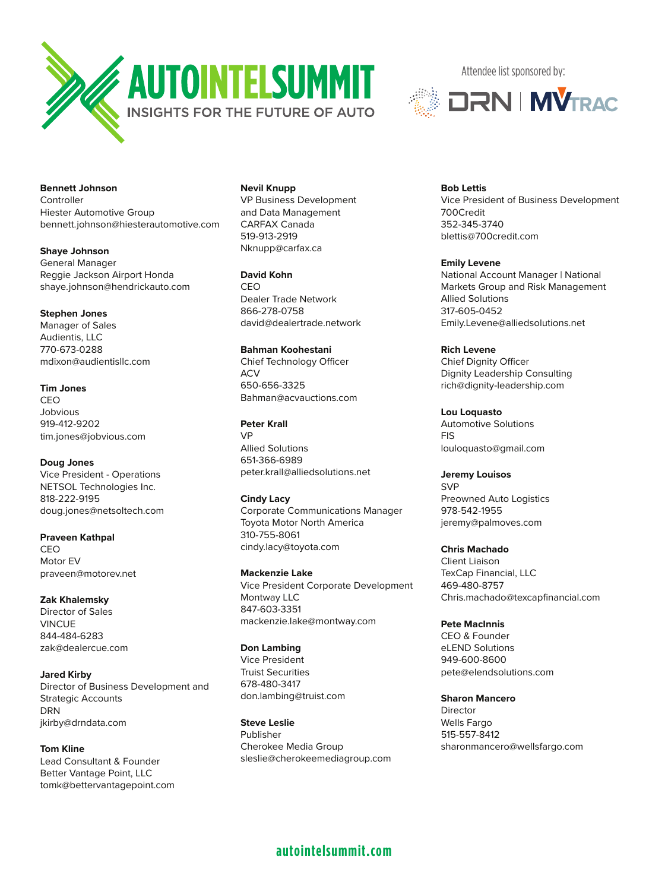

**Bennett Johnson Controller** Hiester Automotive Group bennett.johnson@hiesterautomotive.com

**Shaye Johnson** General Manager Reggie Jackson Airport Honda shaye.johnson@hendrickauto.com

#### **Stephen Jones**

Manager of Sales Audientis, LLC 770-673-0288 mdixon@audientisllc.com

**Tim Jones** CEO Jobvious 919-412-9202 tim.jones@jobvious.com

**Doug Jones** Vice President - Operations NETSOL Technologies Inc. 818-222-9195

doug.jones@netsoltech.com

**Praveen Kathpal** CEO Motor EV praveen@motorev.net

**Zak Khalemsky** Director of Sales VINCUE 844-484-6283 zak@dealercue.com

**Jared Kirby** Director of Business Development and Strategic Accounts DRN jkirby@drndata.com

**Tom Kline** Lead Consultant & Founder Better Vantage Point, LLC tomk@bettervantagepoint.com **Nevil Knupp** VP Business Development and Data Management CARFAX Canada 519-913-2919 Nknupp@carfax.ca

**David Kohn** CEO Dealer Trade Network 866-278-0758 david@dealertrade.network

**Bahman Koohestani** Chief Technology Officer ACV 650-656-3325 Bahman@acvauctions.com

**Peter Krall** VP Allied Solutions 651-366-6989 peter.krall@alliedsolutions.net

**Cindy Lacy** Corporate Communications Manager Toyota Motor North America 310-755-8061 cindy.lacy@toyota.com

**Mackenzie Lake** Vice President Corporate Development Montway LLC 847-603-3351 mackenzie.lake@montway.com

**Don Lambing** Vice President Truist Securities 678-480-3417 don.lambing@truist.com

**Steve Leslie** Publisher Cherokee Media Group sleslie@cherokeemediagroup.com Attendee list sponsored by:



**Bob Lettis** Vice President of Business Development 700Credit 352-345-3740 blettis@700credit.com

**Emily Levene** National Account Manager | National Markets Group and Risk Management Allied Solutions 317-605-0452 Emily.Levene@alliedsolutions.net

**Rich Levene** Chief Dignity Officer Dignity Leadership Consulting rich@dignity-leadership.com

**Lou Loquasto** Automotive Solutions FIS louloquasto@gmail.com

**Jeremy Louisos SVP** Preowned Auto Logistics 978-542-1955 jeremy@palmoves.com

**Chris Machado**

Client Liaison TexCap Financial, LLC 469-480-8757 Chris.machado@texcapfinancial.com

**Pete MacInnis** CEO & Founder eLEND Solutions 949-600-8600 pete@elendsolutions.com

**Sharon Mancero** Director Wells Fargo 515-557-8412 sharonmancero@wellsfargo.com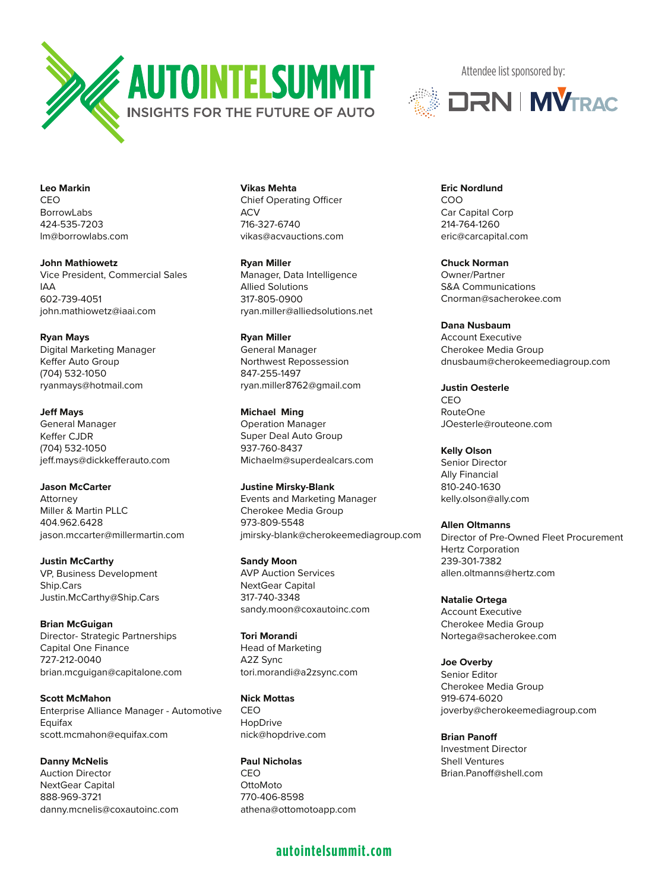



**Leo Markin** CEO BorrowLabs 424-535-7203 lm@borrowlabs.com

**John Mathiowetz** Vice President, Commercial Sales IAA 602-739-4051 john.mathiowetz@iaai.com

**Ryan Mays** Digital Marketing Manager Keffer Auto Group (704) 532-1050 ryanmays@hotmail.com

**Jeff Mays** General Manager Keffer CJDR (704) 532-1050 jeff.mays@dickkefferauto.com

**Jason McCarter** Attorney Miller & Martin PLLC 404.962.6428 jason.mccarter@millermartin.com

**Justin McCarthy** VP, Business Development Ship.Cars Justin.McCarthy@Ship.Cars

**Brian McGuigan** Director- Strategic Partnerships Capital One Finance 727-212-0040 brian.mcguigan@capitalone.com

**Scott McMahon** Enterprise Alliance Manager - Automotive Equifax scott.mcmahon@equifax.com

**Danny McNelis** Auction Director NextGear Capital 888-969-3721 danny.mcnelis@coxautoinc.com **Vikas Mehta** Chief Operating Officer  $ACV$ 716-327-6740 vikas@acvauctions.com

**Ryan Miller** Manager, Data Intelligence Allied Solutions 317-805-0900 ryan.miller@alliedsolutions.net

**Ryan Miller** General Manager Northwest Repossession 847-255-1497 ryan.miller8762@gmail.com

**Michael Ming** Operation Manager Super Deal Auto Group 937-760-8437 Michaelm@superdealcars.com

**Justine Mirsky-Blank** Events and Marketing Manager Cherokee Media Group 973-809-5548 jmirsky-blank@cherokeemediagroup.com

**Sandy Moon** AVP Auction Services NextGear Capital 317-740-3348 sandy.moon@coxautoinc.com

**Tori Morandi** Head of Marketing A2Z Sync tori.morandi@a2zsync.com

**Nick Mottas** CEO HopDrive nick@hopdrive.com

**Paul Nicholas** CEO OttoMoto 770-406-8598 athena@ottomotoapp.com

## **autointelsummit.com**

**Eric Nordlund** COO Car Capital Corp 214-764-1260 eric@carcapital.com

**Chuck Norman** Owner/Partner S&A Communications Cnorman@sacherokee.com

**Dana Nusbaum** Account Executive Cherokee Media Group dnusbaum@cherokeemediagroup.com

**Justin Oesterle** CEO RouteOne JOesterle@routeone.com

**Kelly Olson** Senior Director Ally Financial 810-240-1630 kelly.olson@ally.com

**Allen Oltmanns** Director of Pre-Owned Fleet Procurement Hertz Corporation 239-301-7382 allen.oltmanns@hertz.com

**Natalie Ortega** Account Executive Cherokee Media Group Nortega@sacherokee.com

**Joe Overby** Senior Editor Cherokee Media Group 919-674-6020 joverby@cherokeemediagroup.com

**Brian Panoff** Investment Director Shell Ventures Brian.Panoff@shell.com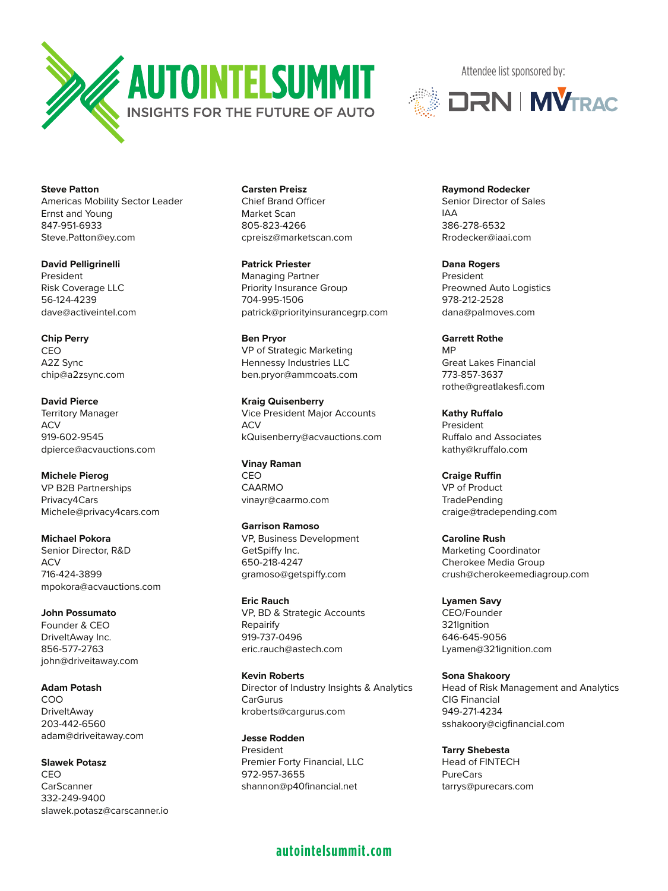



**Steve Patton** Americas Mobility Sector Leader Ernst and Young 847-951-6933 Steve.Patton@ey.com

**David Pelligrinelli** President Risk Coverage LLC 56-124-4239 dave@activeintel.com

**Chip Perry** CEO A2Z Sync chip@a2zsync.com

**David Pierce** Territory Manager **ACV** 919-602-9545 dpierce@acvauctions.com

**Michele Pierog** VP B2B Partnerships Privacy4Cars Michele@privacy4cars.com

**Michael Pokora** Senior Director, R&D ACV 716-424-3899 mpokora@acvauctions.com

**John Possumato** Founder & CEO DriveItAway Inc. 856-577-2763 john@driveitaway.com

**Adam Potash** COO **DriveItAway** 203-442-6560 adam@driveitaway.com

**Slawek Potasz** CEO **CarScanner** 332-249-9400 slawek.potasz@carscanner.io **Carsten Preisz** Chief Brand Officer Market Scan 805-823-4266 cpreisz@marketscan.com

**Patrick Priester** Managing Partner Priority Insurance Group 704-995-1506 patrick@priorityinsurancegrp.com

**Ben Pryor** VP of Strategic Marketing Hennessy Industries LLC ben.pryor@ammcoats.com

**Kraig Quisenberry** Vice President Major Accounts **ACV** kQuisenberry@acvauctions.com

**Vinay Raman** CEO CAARMO vinayr@caarmo.com

**Garrison Ramoso** VP, Business Development GetSpiffy Inc. 650-218-4247 gramoso@getspiffy.com

**Eric Rauch** VP, BD & Strategic Accounts Repairify 919-737-0496 eric.rauch@astech.com

**Kevin Roberts** Director of Industry Insights & Analytics CarGurus kroberts@cargurus.com

**Jesse Rodden** President Premier Forty Financial, LLC 972-957-3655 shannon@p40financial.net

**Raymond Rodecker** Senior Director of Sales IAA 386-278-6532 Rrodecker@iaai.com

**Dana Rogers** President Preowned Auto Logistics 978-212-2528 dana@palmoves.com

**Garrett Rothe** MP Great Lakes Financial 773-857-3637 rothe@greatlakesfi.com

**Kathy Ruffalo** President Ruffalo and Associates kathy@kruffalo.com

**Craige Ruffin** VP of Product **TradePending** craige@tradepending.com

**Caroline Rush** Marketing Coordinator Cherokee Media Group crush@cherokeemediagroup.com

**Lyamen Savy** CEO/Founder 321Ignition 646-645-9056 Lyamen@321ignition.com

**Sona Shakoory** Head of Risk Management and Analytics CIG Financial 949-271-4234 sshakoory@cigfinancial.com

**Tarry Shebesta** Head of FINTECH PureCars tarrys@purecars.com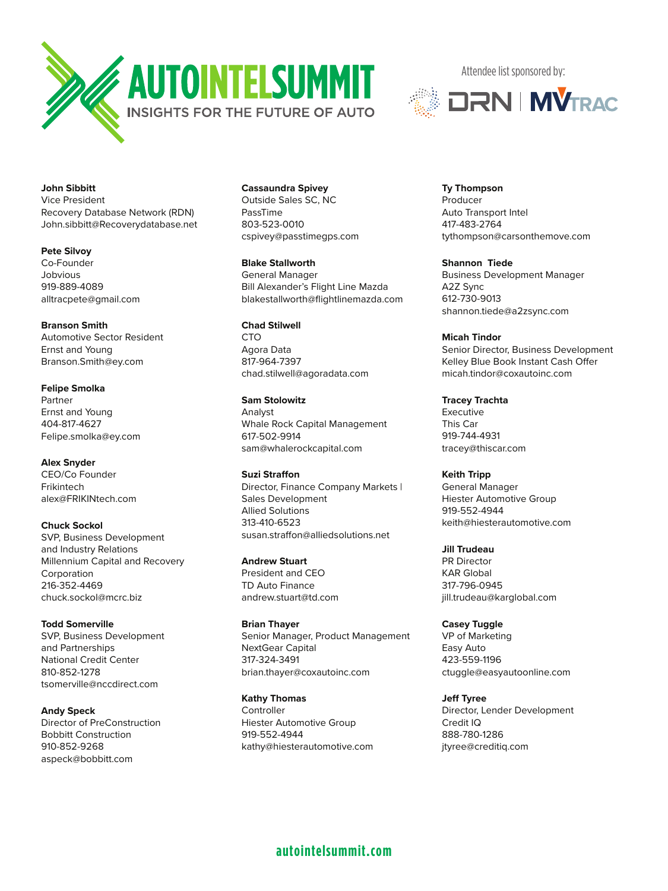



**John Sibbitt** Vice President Recovery Database Network (RDN) John.sibbitt@Recoverydatabase.net

**Pete Silvoy** Co-Founder Jobvious 919-889-4089 alltracpete@gmail.com

**Branson Smith** Automotive Sector Resident Ernst and Young Branson.Smith@ey.com

**Felipe Smolka** Partner Ernst and Young 404-817-4627 Felipe.smolka@ey.com

**Alex Snyder** CEO/Co Founder Frikintech alex@FRIKINtech.com

**Chuck Sockol** SVP, Business Development and Industry Relations Millennium Capital and Recovery **Corporation** 216-352-4469 chuck.sockol@mcrc.biz

**Todd Somerville** SVP, Business Development and Partnerships National Credit Center 810-852-1278 tsomerville@nccdirect.com

**Andy Speck** Director of PreConstruction Bobbitt Construction 910-852-9268 aspeck@bobbitt.com

**Cassaundra Spivey**

Outside Sales SC, NC PassTime 803-523-0010 cspivey@passtimegps.com

**Blake Stallworth** General Manager Bill Alexander's Flight Line Mazda blakestallworth@flightlinemazda.com

**Chad Stilwell** C<sub>TO</sub> Agora Data 817-964-7397 chad.stilwell@agoradata.com

**Sam Stolowitz** Analyst Whale Rock Capital Management 617-502-9914 sam@whalerockcapital.com

**Suzi Straffon** Director, Finance Company Markets | Sales Development Allied Solutions 313-410-6523 susan.straffon@alliedsolutions.net

**Andrew Stuart** President and CEO TD Auto Finance andrew.stuart@td.com

**Brian Thayer** Senior Manager, Product Management NextGear Capital 317-324-3491 brian.thayer@coxautoinc.com

**Kathy Thomas Controller** Hiester Automotive Group 919-552-4944 kathy@hiesterautomotive.com **Ty Thompson** Producer Auto Transport Intel 417-483-2764 tythompson@carsonthemove.com

**Shannon Tiede** Business Development Manager A2Z Sync 612-730-9013 shannon.tiede@a2zsync.com

**Micah Tindor** Senior Director, Business Development Kelley Blue Book Instant Cash Offer micah.tindor@coxautoinc.com

**Tracey Trachta** Executive This Car 919-744-4931 tracey@thiscar.com

**Keith Tripp** General Manager Hiester Automotive Group 919-552-4944 keith@hiesterautomotive.com

**Jill Trudeau** PR Director KAR Global 317-796-0945 jill.trudeau@karglobal.com

**Casey Tuggle** VP of Marketing Easy Auto 423-559-1196 ctuggle@easyautoonline.com

**Jeff Tyree** Director, Lender Development Credit IQ 888-780-1286 jtyree@creditiq.com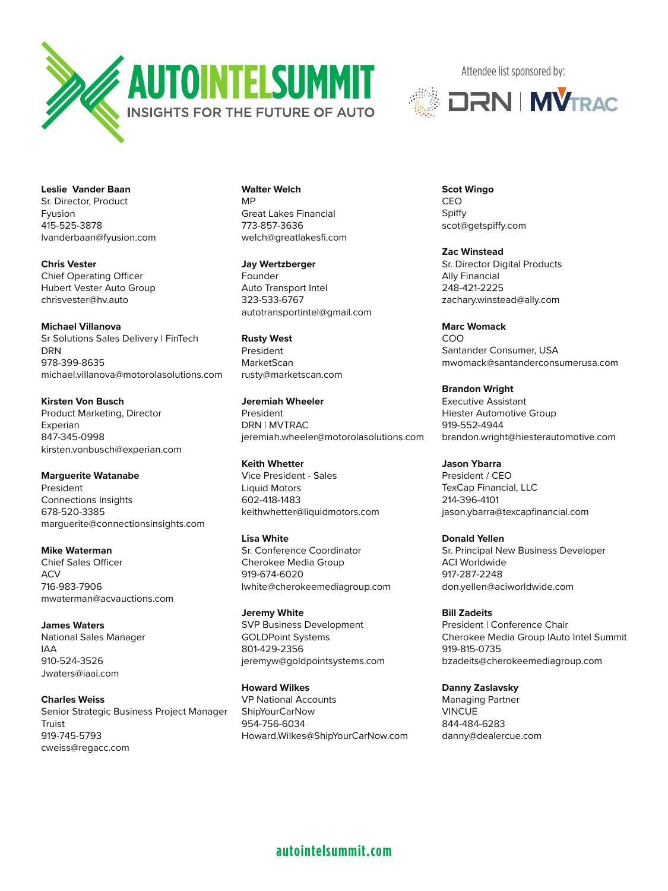



**Leslie Vander Baan** Sr. Director, Product Fyusion 415-525-3878 lvanderbaan@fyusion.com

**Chris Vester** Chief Operating Officer Hubert Vester Auto Group chrisvester@hv.auto

**Michael Villanova** Sr Solutions Sales Delivery | FinTech DRN 978-399-8635 michael.villanova@motorolasolutions.com

**Kirsten Von Busch** Product Marketing, Director Experian 847-345-0998 kirsten.vonbusch@experian.com

**Marguerite Watanabe** President Connections Insights 678-520-3385 marguerite@connectionsinsights.com

**Mike Waterman** Chief Sales Officer ACV 716-983-7906 mwaterman@acvauctions.com

**James Waters** National Sales Manager IAA 910-524-3526 Jwaters@iaai.com

**Charles Weiss** Senior Strategic Business Project Manager Truist 919-745-5793 cweiss@regacc.com

**Walter Welch** MP Great Lakes Financial 773-857-3636 welch@greatlakesfi.com

**Jay Wertzberger** Founder Auto Transport Intel 323-533-6767 autotransportintel@gmail.com

**Rusty West** President MarketScan rusty@marketscan.com

**Jeremiah Wheeler** President DRN | MVTRAC jeremiah.wheeler@motorolasolutions.com

**Keith Whetter** Vice President - Sales Liquid Motors 602-418-1483 keithwhetter@liquidmotors.com

**Lisa White** Sr. Conference Coordinator Cherokee Media Group 919-674-6020 lwhite@cherokeemediagroup.com

**Jeremy White** SVP Business Development GOLDPoint Systems 801-429-2356 jeremyw@goldpointsystems.com

**Howard Wilkes** VP National Accounts ShipYourCarNow 954-756-6034 Howard.Wilkes@ShipYourCarNow.com **Scot Wingo** CEO Spiffy scot@getspiffy.com

**Zac Winstead** Sr. Director Digital Products Ally Financial 248-421-2225 zachary.winstead@ally.com

**Marc Womack** COO Santander Consumer, USA mwomack@santanderconsumerusa.com

**Brandon Wright** Executive Assistant Hiester Automotive Group 919-552-4944 brandon.wright@hiesterautomotive.com

**Jason Ybarra** President / CEO TexCap Financial, LLC 214-396-4101 jason.ybarra@texcapfinancial.com

**Donald Yellen** Sr. Principal New Business Developer ACI Worldwide 917-287-2248 don.yellen@aciworldwide.com

**Bill Zadeits** President | Conference Chair Cherokee Media Group |Auto Intel Summit 919-815-0735 bzadeits@cherokeemediagroup.com

**Danny Zaslavsky** Managing Partner **VINCUE** 844-484-6283 danny@dealercue.com